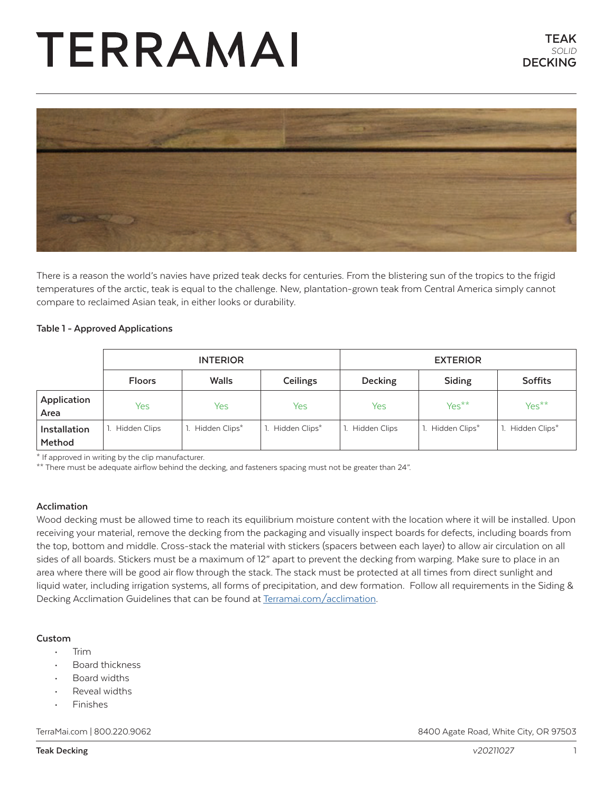# TERRAMAI



There is a reason the world's navies have prized teak decks for centuries. From the blistering sun of the tropics to the frigid temperatures of the arctic, teak is equal to the challenge. New, plantation-grown teak from Central America simply cannot compare to reclaimed Asian teak, in either looks or durability.

#### **Table 1 - Approved Applications**

|                               | <b>INTERIOR</b> |                  |                  | <b>EXTERIOR</b> |               |                |
|-------------------------------|-----------------|------------------|------------------|-----------------|---------------|----------------|
|                               | <b>Floors</b>   | Walls            | Ceilings         | <b>Decking</b>  | Siding        | <b>Soffits</b> |
| Application<br>Area           | Yes             | Yes              | Yes              | Yes             | $Yes**$       | $Yes**$        |
| <b>Installation</b><br>Method | 1. Hidden Clips | 1. Hidden Clips* | 1. Hidden Clips* | 1. Hidden Clips | Hidden Clips* | Hidden Clips*  |

\* If approved in writing by the clip manufacturer.

\*\* There must be adequate airflow behind the decking, and fasteners spacing must not be greater than 24".

#### **Acclimation**

Wood decking must be allowed time to reach its equilibrium moisture content with the location where it will be installed. Upon receiving your material, remove the decking from the packaging and visually inspect boards for defects, including boards from the top, bottom and middle. Cross-stack the material with stickers (spacers between each layer) to allow air circulation on all sides of all boards. Stickers must be a maximum of 12" apart to prevent the decking from warping. Make sure to place in an area where there will be good air flow through the stack. The stack must be protected at all times from direct sunlight and liquid water, including irrigation systems, all forms of precipitation, and dew formation. Follow all requirements in the Siding & Decking Acclimation Guidelines that can be found at [Terramai.com/acclimation.](http://Terramai.com/acclimation)

#### **Custom**

- Trim
- Board thickness
- Board widths
- Reveal widths
- **Finishes**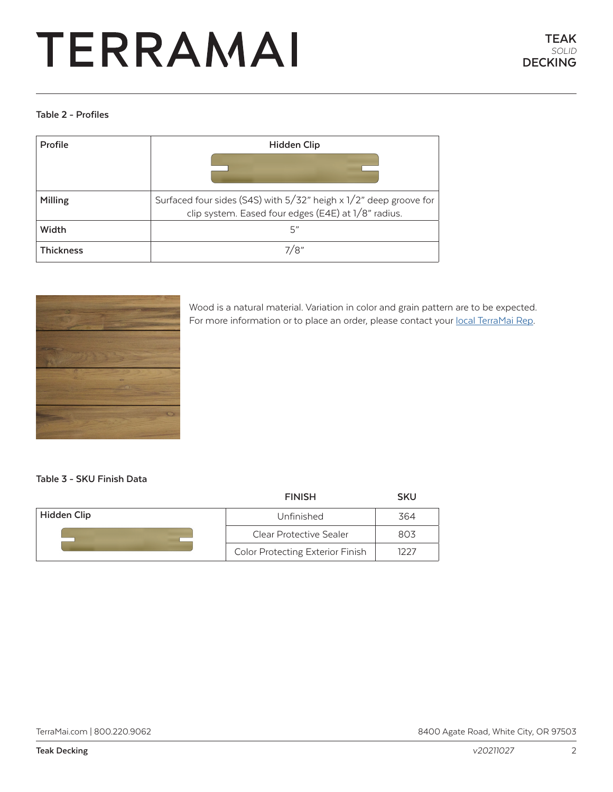## TERRAMAI

#### **Table 2 - Profiles**

| <b>Profile</b>   | Hidden Clip                                                                                                              |  |
|------------------|--------------------------------------------------------------------------------------------------------------------------|--|
|                  |                                                                                                                          |  |
| Milling          | Surfaced four sides (S4S) with 5/32" heigh x 1/2" deep groove for<br>clip system. Eased four edges (E4E) at 1/8" radius. |  |
| Width            | 5"                                                                                                                       |  |
| <b>Thickness</b> | 1/8"                                                                                                                     |  |



Wood is a natural material. Variation in color and grain pattern are to be expected. For more information or to place an order, please contact your [local TerraMai Rep.](https://www.terramai.com/team-terramai)

## **Table 3 - SKU Finish Data**

|             | <b>FINISH</b>                           | SKU |
|-------------|-----------------------------------------|-----|
| Hidden Clip | Unfinished                              | 364 |
|             | Clear Protective Sealer                 | 803 |
|             | <b>Color Protecting Exterior Finish</b> |     |